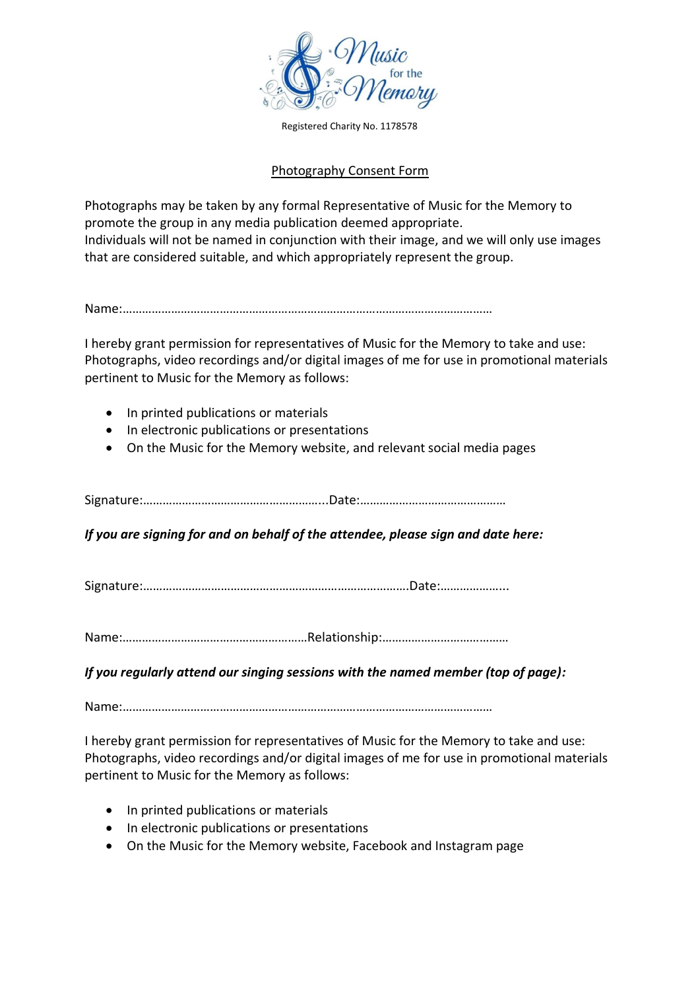

Registered Charity No. 1178578

## Photography Consent Form

Photographs may be taken by any formal Representative of Music for the Memory to promote the group in any media publication deemed appropriate. Individuals will not be named in conjunction with their image, and we will only use images that are considered suitable, and which appropriately represent the group.

Name:……………………………………………………………………………………………………

I hereby grant permission for representatives of Music for the Memory to take and use: Photographs, video recordings and/or digital images of me for use in promotional materials pertinent to Music for the Memory as follows:

- In printed publications or materials
- In electronic publications or presentations
- On the Music for the Memory website, and relevant social media pages

Signature:………………………………………………...Date:………………………………………

*If you are signing for and on behalf of the attendee, please sign and date here:*

Signature:……………………………………………………………………….Date:………………...

Name:…………………………………………………Relationship:…………………………………

*If you regularly attend our singing sessions with the named member (top of page):*

Name:……………………………………………………………………………………………………

I hereby grant permission for representatives of Music for the Memory to take and use: Photographs, video recordings and/or digital images of me for use in promotional materials pertinent to Music for the Memory as follows:

- In printed publications or materials
- In electronic publications or presentations
- On the Music for the Memory website, Facebook and Instagram page